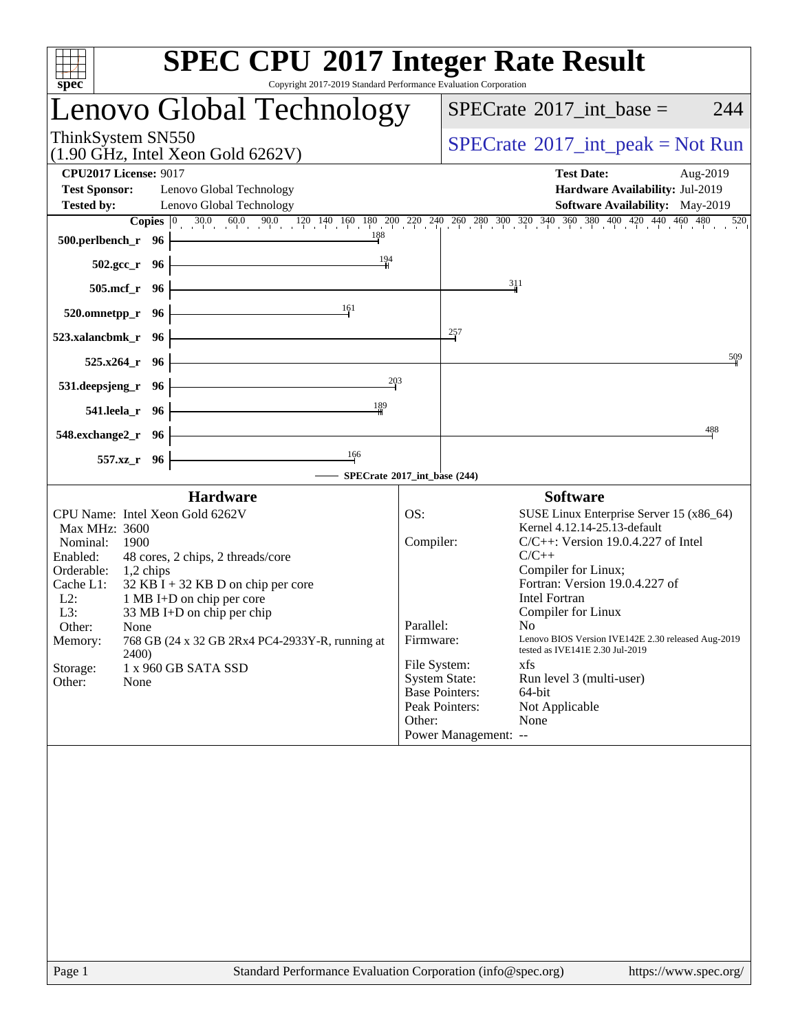| spec <sup>®</sup>                                                                                                                                                                                                                                                                                                                                                                                                                 | <b>SPEC CPU®2017 Integer Rate Result</b><br>Copyright 2017-2019 Standard Performance Evaluation Corporation                                                                                                                                                                                                                                                                                                                                                                                                                                                                              |
|-----------------------------------------------------------------------------------------------------------------------------------------------------------------------------------------------------------------------------------------------------------------------------------------------------------------------------------------------------------------------------------------------------------------------------------|------------------------------------------------------------------------------------------------------------------------------------------------------------------------------------------------------------------------------------------------------------------------------------------------------------------------------------------------------------------------------------------------------------------------------------------------------------------------------------------------------------------------------------------------------------------------------------------|
| Lenovo Global Technology                                                                                                                                                                                                                                                                                                                                                                                                          | $SPECrate^{\circ}2017\_int\_base =$<br>244                                                                                                                                                                                                                                                                                                                                                                                                                                                                                                                                               |
| ThinkSystem SN550<br>$(1.90 \text{ GHz}, \text{Intel Xeon Gold } 6262 \text{V})$                                                                                                                                                                                                                                                                                                                                                  | $SPECrate^{\circledcirc}2017\_int\_peak = Not Run$                                                                                                                                                                                                                                                                                                                                                                                                                                                                                                                                       |
| <b>CPU2017 License: 9017</b><br><b>Test Sponsor:</b><br>Lenovo Global Technology<br><b>Tested by:</b><br>Lenovo Global Technology                                                                                                                                                                                                                                                                                                 | <b>Test Date:</b><br>Aug-2019<br>Hardware Availability: Jul-2019<br>Software Availability: May-2019                                                                                                                                                                                                                                                                                                                                                                                                                                                                                      |
| 188<br>$500.$ perlbench_r 96 $\vdash$                                                                                                                                                                                                                                                                                                                                                                                             | <b>Copies</b> $\begin{bmatrix} 0 & 30.0 & 60.0 & 90.0 & 120 & 140 & 160 & 180 & 200 & 220 & 240 & 260 & 300 & 320 & 340 & 360 & 380 & 400 & 420 & 440 & 460 & 480 & 520 \end{bmatrix}$                                                                                                                                                                                                                                                                                                                                                                                                   |
| 194<br><u> 1989 - Johann Stoff, deutscher Stoffen und der Stoffen und der Stoffen und der Stoffen und der Stoffen und der</u><br>$502.\text{gcc}_r$ 96                                                                                                                                                                                                                                                                            |                                                                                                                                                                                                                                                                                                                                                                                                                                                                                                                                                                                          |
| $505.\text{mcf}_r$ 96                                                                                                                                                                                                                                                                                                                                                                                                             | 311                                                                                                                                                                                                                                                                                                                                                                                                                                                                                                                                                                                      |
| 161<br>$520.0$ mnetpp_r 96                                                                                                                                                                                                                                                                                                                                                                                                        |                                                                                                                                                                                                                                                                                                                                                                                                                                                                                                                                                                                          |
| $523.xalanchmk_r$ 96                                                                                                                                                                                                                                                                                                                                                                                                              | 257                                                                                                                                                                                                                                                                                                                                                                                                                                                                                                                                                                                      |
| $525.x264$ <sub>r</sub> 96                                                                                                                                                                                                                                                                                                                                                                                                        | 509                                                                                                                                                                                                                                                                                                                                                                                                                                                                                                                                                                                      |
| <u> 1980 - Johann Barbara, martxa a</u><br>$531.$ deepsjeng_r 96                                                                                                                                                                                                                                                                                                                                                                  | 203                                                                                                                                                                                                                                                                                                                                                                                                                                                                                                                                                                                      |
| 189<br>541.leela_r 96                                                                                                                                                                                                                                                                                                                                                                                                             |                                                                                                                                                                                                                                                                                                                                                                                                                                                                                                                                                                                          |
| $548$ .exchange2_r 96 -                                                                                                                                                                                                                                                                                                                                                                                                           | 488                                                                                                                                                                                                                                                                                                                                                                                                                                                                                                                                                                                      |
| $\frac{166}{1}$<br>557.xz_r 96                                                                                                                                                                                                                                                                                                                                                                                                    |                                                                                                                                                                                                                                                                                                                                                                                                                                                                                                                                                                                          |
|                                                                                                                                                                                                                                                                                                                                                                                                                                   | - SPECrate®2017_int_base (244)                                                                                                                                                                                                                                                                                                                                                                                                                                                                                                                                                           |
| <b>Hardware</b>                                                                                                                                                                                                                                                                                                                                                                                                                   | <b>Software</b>                                                                                                                                                                                                                                                                                                                                                                                                                                                                                                                                                                          |
| CPU Name: Intel Xeon Gold 6262V<br>Max MHz: 3600<br>Nominal:<br>1900<br>Enabled:<br>48 cores, 2 chips, 2 threads/core<br>Orderable:<br>$1,2$ chips<br>$32$ KB I + 32 KB D on chip per core<br>Cache L1:<br>1 MB I+D on chip per core<br>$L2$ :<br>L3:<br>33 MB I+D on chip per chip<br>Other:<br>None<br>768 GB (24 x 32 GB 2Rx4 PC4-2933Y-R, running at<br>Memory:<br>2400)<br>Storage:<br>1 x 960 GB SATA SSD<br>Other:<br>None | OS:<br>SUSE Linux Enterprise Server 15 (x86_64)<br>Kernel 4.12.14-25.13-default<br>Compiler:<br>$C/C++$ : Version 19.0.4.227 of Intel<br>$C/C++$<br>Compiler for Linux;<br>Fortran: Version 19.0.4.227 of<br><b>Intel Fortran</b><br>Compiler for Linux<br>Parallel:<br>N <sub>0</sub><br>Lenovo BIOS Version IVE142E 2.30 released Aug-2019<br>Firmware:<br>tested as IVE141E 2.30 Jul-2019<br>File System:<br>xfs<br><b>System State:</b><br>Run level 3 (multi-user)<br><b>Base Pointers:</b><br>64-bit<br>Peak Pointers:<br>Not Applicable<br>Other:<br>None<br>Power Management: -- |
|                                                                                                                                                                                                                                                                                                                                                                                                                                   |                                                                                                                                                                                                                                                                                                                                                                                                                                                                                                                                                                                          |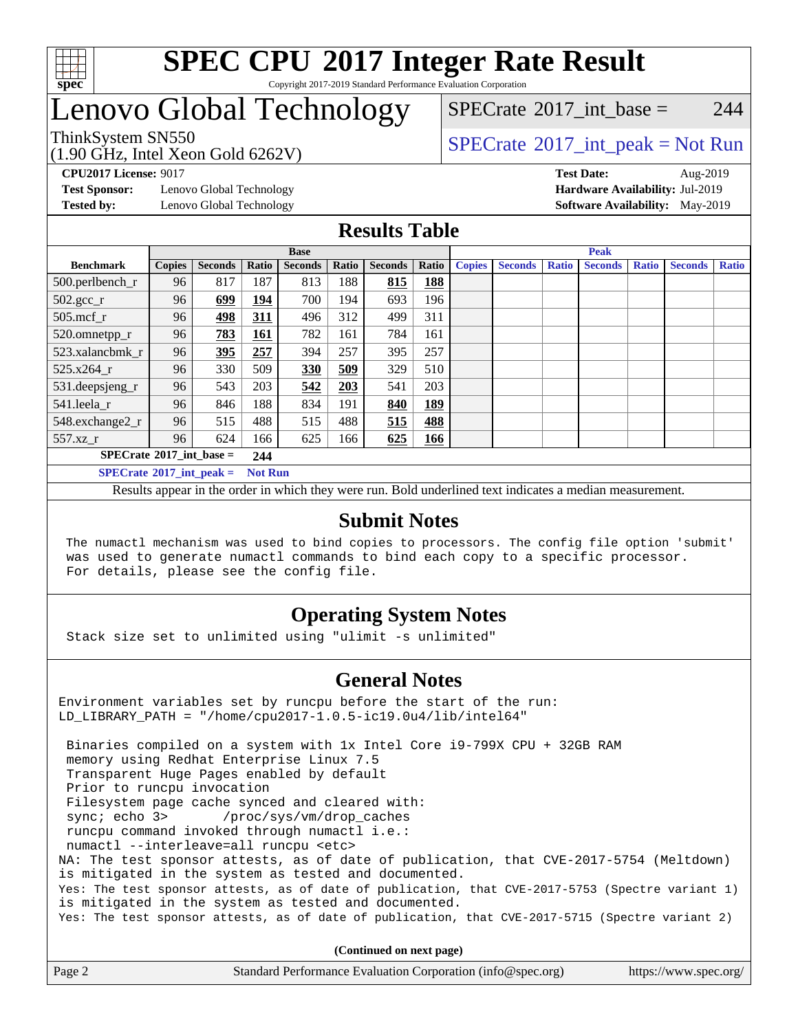

### **[SPEC CPU](http://www.spec.org/auto/cpu2017/Docs/result-fields.html#SPECCPU2017IntegerRateResult)[2017 Integer Rate Result](http://www.spec.org/auto/cpu2017/Docs/result-fields.html#SPECCPU2017IntegerRateResult)** Copyright 2017-2019 Standard Performance Evaluation Corporation

# Lenovo Global Technology

[SPECrate](http://www.spec.org/auto/cpu2017/Docs/result-fields.html#SPECrate2017intbase)<sup>®</sup>2017 int base = 244

### ThinkSystem SN550<br>  $\begin{array}{c}\n\text{SPECTB} \text{SIN} \\
\text{SPECTB} \text{SIN} \\
\text{SPECTB} \text{SIN} \\
\text{SPECTB} \text{SIN} \\
\text{SIV} \end{array}$

(1.90 GHz, Intel Xeon Gold 6262V)

**[Test Sponsor:](http://www.spec.org/auto/cpu2017/Docs/result-fields.html#TestSponsor)** Lenovo Global Technology **[Hardware Availability:](http://www.spec.org/auto/cpu2017/Docs/result-fields.html#HardwareAvailability)** Jul-2019

**[CPU2017 License:](http://www.spec.org/auto/cpu2017/Docs/result-fields.html#CPU2017License)** 9017 **[Test Date:](http://www.spec.org/auto/cpu2017/Docs/result-fields.html#TestDate)** Aug-2019 **[Tested by:](http://www.spec.org/auto/cpu2017/Docs/result-fields.html#Testedby)** Lenovo Global Technology **[Software Availability:](http://www.spec.org/auto/cpu2017/Docs/result-fields.html#SoftwareAvailability)** May-2019

### **[Results Table](http://www.spec.org/auto/cpu2017/Docs/result-fields.html#ResultsTable)**

|                                   | <b>Base</b>   |                |                |                | <b>Peak</b> |                |            |               |                |       |                |              |                |              |
|-----------------------------------|---------------|----------------|----------------|----------------|-------------|----------------|------------|---------------|----------------|-------|----------------|--------------|----------------|--------------|
| <b>Benchmark</b>                  | <b>Copies</b> | <b>Seconds</b> | Ratio          | <b>Seconds</b> | Ratio       | <b>Seconds</b> | Ratio      | <b>Copies</b> | <b>Seconds</b> | Ratio | <b>Seconds</b> | <b>Ratio</b> | <b>Seconds</b> | <b>Ratio</b> |
| $500.$ perlbench_r                | 96            | 817            | 187            | 813            | 188         | 815            | 188        |               |                |       |                |              |                |              |
| $502.\text{gcc}_r$                | 96            | 699            | 194            | 700            | 194         | 693            | 196        |               |                |       |                |              |                |              |
| $505$ .mcf $r$                    | 96            | 498            | 311            | 496            | 312         | 499            | 311        |               |                |       |                |              |                |              |
| 520.omnetpp_r                     | 96            | 783            | 161            | 782            | 161         | 784            | 161        |               |                |       |                |              |                |              |
| 523.xalancbmk r                   | 96            | 395            | 257            | 394            | 257         | 395            | 257        |               |                |       |                |              |                |              |
| 525.x264 r                        | 96            | 330            | 509            | 330            | 509         | 329            | 510        |               |                |       |                |              |                |              |
| 531.deepsjeng_r                   | 96            | 543            | 203            | 542            | 203         | 541            | 203        |               |                |       |                |              |                |              |
| 541.leela r                       | 96            | 846            | 188            | 834            | 191         | 840            | <b>189</b> |               |                |       |                |              |                |              |
| 548.exchange2_r                   | 96            | 515            | 488            | 515            | 488         | 515            | 488        |               |                |       |                |              |                |              |
| 557.xz r                          | 96            | 624            | 166            | 625            | 166         | 625            | <b>166</b> |               |                |       |                |              |                |              |
| $SPECrate^{\circ}2017$ int base = |               |                | 244            |                |             |                |            |               |                |       |                |              |                |              |
| $SPECrate^{\circ}2017$ int peak = |               |                | <b>Not Run</b> |                |             |                |            |               |                |       |                |              |                |              |

Results appear in the [order in which they were run](http://www.spec.org/auto/cpu2017/Docs/result-fields.html#RunOrder). Bold underlined text [indicates a median measurement](http://www.spec.org/auto/cpu2017/Docs/result-fields.html#Median).

### **[Submit Notes](http://www.spec.org/auto/cpu2017/Docs/result-fields.html#SubmitNotes)**

 The numactl mechanism was used to bind copies to processors. The config file option 'submit' was used to generate numactl commands to bind each copy to a specific processor. For details, please see the config file.

### **[Operating System Notes](http://www.spec.org/auto/cpu2017/Docs/result-fields.html#OperatingSystemNotes)**

Stack size set to unlimited using "ulimit -s unlimited"

### **[General Notes](http://www.spec.org/auto/cpu2017/Docs/result-fields.html#GeneralNotes)**

Environment variables set by runcpu before the start of the run: LD\_LIBRARY\_PATH = "/home/cpu2017-1.0.5-ic19.0u4/lib/intel64"

 Binaries compiled on a system with 1x Intel Core i9-799X CPU + 32GB RAM memory using Redhat Enterprise Linux 7.5 Transparent Huge Pages enabled by default Prior to runcpu invocation Filesystem page cache synced and cleared with: sync; echo 3> /proc/sys/vm/drop\_caches runcpu command invoked through numactl i.e.: numactl --interleave=all runcpu <etc> NA: The test sponsor attests, as of date of publication, that CVE-2017-5754 (Meltdown) is mitigated in the system as tested and documented. Yes: The test sponsor attests, as of date of publication, that CVE-2017-5753 (Spectre variant 1) is mitigated in the system as tested and documented. Yes: The test sponsor attests, as of date of publication, that CVE-2017-5715 (Spectre variant 2)

**(Continued on next page)**

| Page 2<br>Standard Performance Evaluation Corporation (info@spec.org)<br>https://www.spec.org/ |
|------------------------------------------------------------------------------------------------|
|------------------------------------------------------------------------------------------------|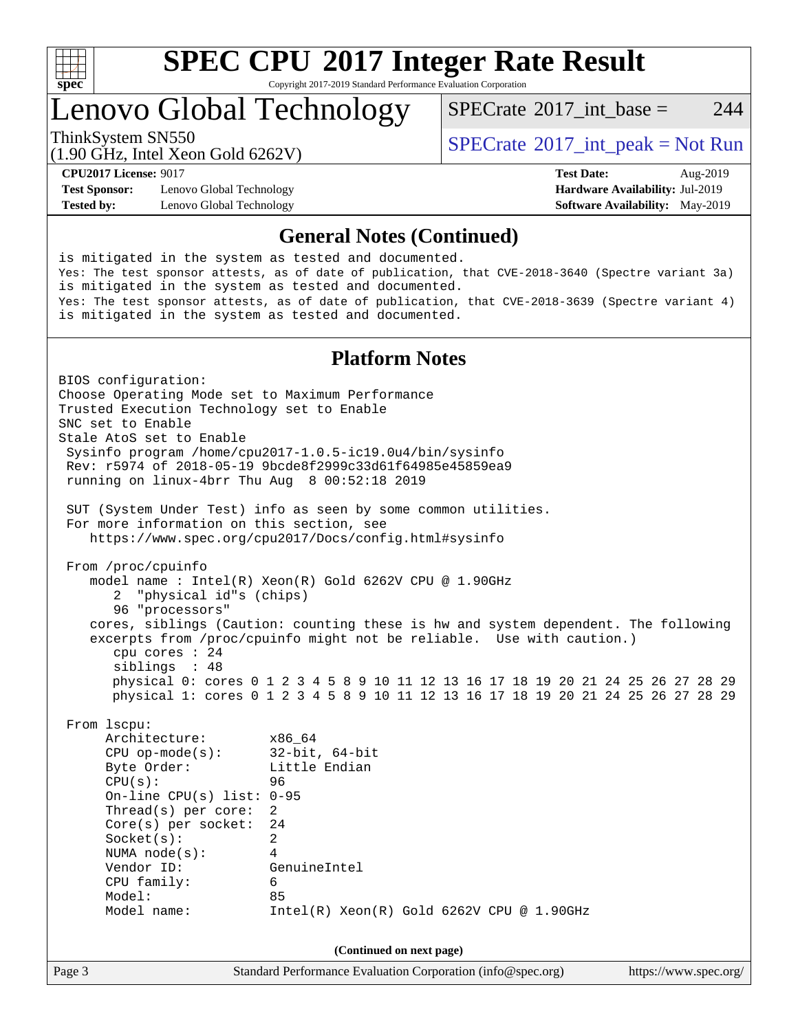

# **[SPEC CPU](http://www.spec.org/auto/cpu2017/Docs/result-fields.html#SPECCPU2017IntegerRateResult)[2017 Integer Rate Result](http://www.spec.org/auto/cpu2017/Docs/result-fields.html#SPECCPU2017IntegerRateResult)**

Copyright 2017-2019 Standard Performance Evaluation Corporation

## Lenovo Global Technology

[SPECrate](http://www.spec.org/auto/cpu2017/Docs/result-fields.html#SPECrate2017intbase)<sup>®</sup>2017 int base = 244

(1.90 GHz, Intel Xeon Gold 6262V)

ThinkSystem SN550<br>  $\begin{array}{c}\n\text{SPECrate} \textcirc 2017\_int\_peak = Not Run \\
\text{SPECrate} \textcirc 2017\_int\_peak = Not Run\n\end{array}$  $\begin{array}{c}\n\text{SPECrate} \textcirc 2017\_int\_peak = Not Run \\
\text{SPECrate} \textcirc 2017\_int\_peak = Not Run\n\end{array}$  $\begin{array}{c}\n\text{SPECrate} \textcirc 2017\_int\_peak = Not Run \\
\text{SPECrate} \textcirc 2017\_int\_peak = Not Run\n\end{array}$ 

**[Test Sponsor:](http://www.spec.org/auto/cpu2017/Docs/result-fields.html#TestSponsor)** Lenovo Global Technology **[Hardware Availability:](http://www.spec.org/auto/cpu2017/Docs/result-fields.html#HardwareAvailability)** Jul-2019 **[Tested by:](http://www.spec.org/auto/cpu2017/Docs/result-fields.html#Testedby)** Lenovo Global Technology **[Software Availability:](http://www.spec.org/auto/cpu2017/Docs/result-fields.html#SoftwareAvailability)** May-2019

**[CPU2017 License:](http://www.spec.org/auto/cpu2017/Docs/result-fields.html#CPU2017License)** 9017 **[Test Date:](http://www.spec.org/auto/cpu2017/Docs/result-fields.html#TestDate)** Aug-2019

### **[General Notes \(Continued\)](http://www.spec.org/auto/cpu2017/Docs/result-fields.html#GeneralNotes)**

is mitigated in the system as tested and documented. Yes: The test sponsor attests, as of date of publication, that CVE-2018-3640 (Spectre variant 3a) is mitigated in the system as tested and documented. Yes: The test sponsor attests, as of date of publication, that CVE-2018-3639 (Spectre variant 4) is mitigated in the system as tested and documented.

### **[Platform Notes](http://www.spec.org/auto/cpu2017/Docs/result-fields.html#PlatformNotes)**

Page 3 Standard Performance Evaluation Corporation [\(info@spec.org\)](mailto:info@spec.org) <https://www.spec.org/> BIOS configuration: Choose Operating Mode set to Maximum Performance Trusted Execution Technology set to Enable SNC set to Enable Stale AtoS set to Enable Sysinfo program /home/cpu2017-1.0.5-ic19.0u4/bin/sysinfo Rev: r5974 of 2018-05-19 9bcde8f2999c33d61f64985e45859ea9 running on linux-4brr Thu Aug 8 00:52:18 2019 SUT (System Under Test) info as seen by some common utilities. For more information on this section, see <https://www.spec.org/cpu2017/Docs/config.html#sysinfo> From /proc/cpuinfo model name : Intel(R) Xeon(R) Gold 6262V CPU @ 1.90GHz 2 "physical id"s (chips) 96 "processors" cores, siblings (Caution: counting these is hw and system dependent. The following excerpts from /proc/cpuinfo might not be reliable. Use with caution.) cpu cores : 24 siblings : 48 physical 0: cores 0 1 2 3 4 5 8 9 10 11 12 13 16 17 18 19 20 21 24 25 26 27 28 29 physical 1: cores 0 1 2 3 4 5 8 9 10 11 12 13 16 17 18 19 20 21 24 25 26 27 28 29 From lscpu: Architecture: x86\_64 CPU op-mode(s): 32-bit, 64-bit Byte Order: Little Endian  $CPU(s):$  96 On-line CPU(s) list: 0-95 Thread(s) per core: 2 Core(s) per socket: 24 Socket(s): 2 NUMA node(s): 4 Vendor ID: GenuineIntel CPU family: 6 Model: 85 Model name: Intel(R) Xeon(R) Gold 6262V CPU @ 1.90GHz **(Continued on next page)**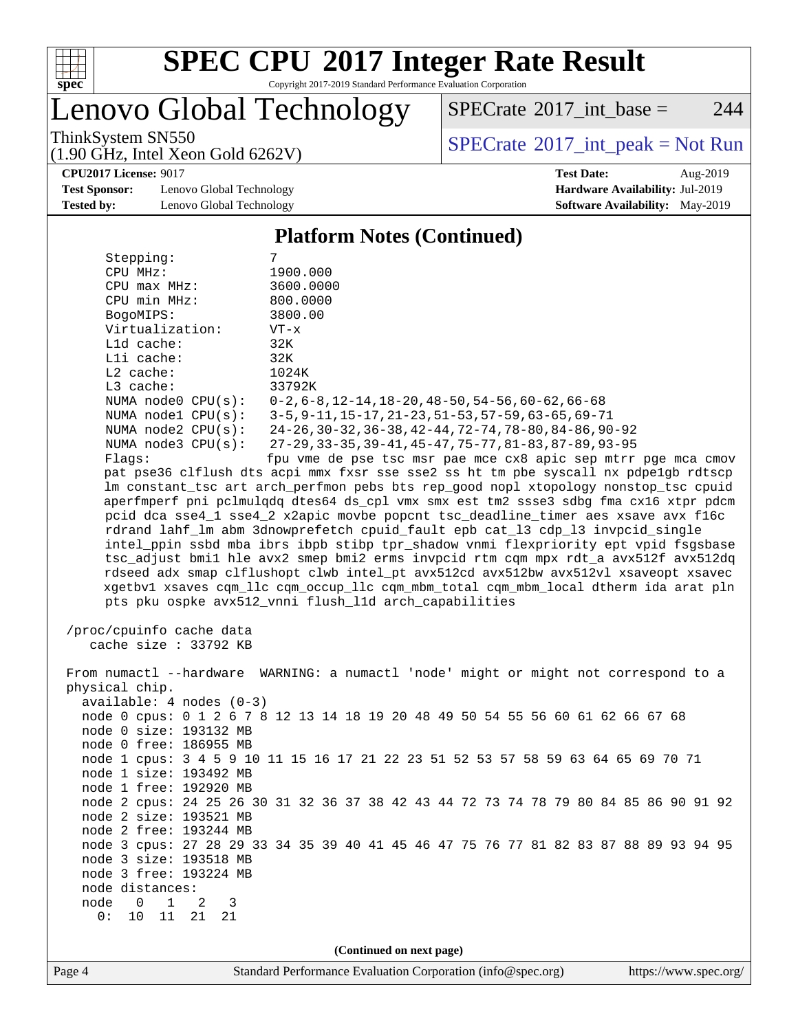

# **[SPEC CPU](http://www.spec.org/auto/cpu2017/Docs/result-fields.html#SPECCPU2017IntegerRateResult)[2017 Integer Rate Result](http://www.spec.org/auto/cpu2017/Docs/result-fields.html#SPECCPU2017IntegerRateResult)**

Copyright 2017-2019 Standard Performance Evaluation Corporation

Lenovo Global Technology

 $SPECTate$ <sup>®</sup>[2017\\_int\\_base =](http://www.spec.org/auto/cpu2017/Docs/result-fields.html#SPECrate2017intbase) 244

(1.90 GHz, Intel Xeon Gold 6262V)

ThinkSystem SN550<br>(1.90 GHz, Intel Xeon Gold 6262V) [SPECrate](http://www.spec.org/auto/cpu2017/Docs/result-fields.html#SPECrate2017intpeak)®[2017\\_int\\_peak = N](http://www.spec.org/auto/cpu2017/Docs/result-fields.html#SPECrate2017intpeak)ot Run

**[Test Sponsor:](http://www.spec.org/auto/cpu2017/Docs/result-fields.html#TestSponsor)** Lenovo Global Technology **[Hardware Availability:](http://www.spec.org/auto/cpu2017/Docs/result-fields.html#HardwareAvailability)** Jul-2019 **[Tested by:](http://www.spec.org/auto/cpu2017/Docs/result-fields.html#Testedby)** Lenovo Global Technology **[Software Availability:](http://www.spec.org/auto/cpu2017/Docs/result-fields.html#SoftwareAvailability)** May-2019

**[CPU2017 License:](http://www.spec.org/auto/cpu2017/Docs/result-fields.html#CPU2017License)** 9017 **[Test Date:](http://www.spec.org/auto/cpu2017/Docs/result-fields.html#TestDate)** Aug-2019

### **[Platform Notes \(Continued\)](http://www.spec.org/auto/cpu2017/Docs/result-fields.html#PlatformNotes)**

| Stepping:                                         | 7                                                                                    |
|---------------------------------------------------|--------------------------------------------------------------------------------------|
| CPU MHz:                                          | 1900.000                                                                             |
| $CPU$ $max$ $MHz$ :                               | 3600.0000                                                                            |
| CPU min MHz:                                      | 800.0000                                                                             |
| BogoMIPS:                                         | 3800.00                                                                              |
| Virtualization:                                   | $VT - x$                                                                             |
| L1d cache:                                        | 32K                                                                                  |
| Lli cache:                                        | 32K                                                                                  |
| L2 cache:                                         | 1024K                                                                                |
| L3 cache:                                         | 33792K                                                                               |
| NUMA $node0$ $CPU(s):$                            | $0-2$ , $6-8$ , $12-14$ , $18-20$ , $48-50$ , $54-56$ , $60-62$ , $66-68$            |
| NUMA nodel CPU(s):                                | 3-5, 9-11, 15-17, 21-23, 51-53, 57-59, 63-65, 69-71                                  |
| NUMA $node2$ $CPU(s):$                            | 24-26, 30-32, 36-38, 42-44, 72-74, 78-80, 84-86, 90-92                               |
| NUMA $node3$ $CPU(s):$                            | 27-29, 33-35, 39-41, 45-47, 75-77, 81-83, 87-89, 93-95                               |
| Flags:                                            | fpu vme de pse tsc msr pae mce cx8 apic sep mtrr pge mca cmov                        |
|                                                   | pat pse36 clflush dts acpi mmx fxsr sse sse2 ss ht tm pbe syscall nx pdpelgb rdtscp  |
|                                                   | lm constant_tsc art arch_perfmon pebs bts rep_good nopl xtopology nonstop_tsc cpuid  |
|                                                   | aperfmperf pni pclmulqdq dtes64 ds_cpl vmx smx est tm2 ssse3 sdbg fma cx16 xtpr pdcm |
|                                                   | pcid dca sse4_1 sse4_2 x2apic movbe popcnt tsc_deadline_timer aes xsave avx f16c     |
|                                                   | rdrand lahf_lm abm 3dnowprefetch cpuid_fault epb cat_13 cdp_13 invpcid_single        |
|                                                   | intel_ppin ssbd mba ibrs ibpb stibp tpr_shadow vnmi flexpriority ept vpid fsgsbase   |
|                                                   | tsc_adjust bmil hle avx2 smep bmi2 erms invpcid rtm cqm mpx rdt_a avx512f avx512dq   |
|                                                   | rdseed adx smap clflushopt clwb intel pt avx512cd avx512bw avx512vl xsaveopt xsavec  |
|                                                   | xgetbvl xsaves cqm_llc cqm_occup_llc cqm_mbm_total cqm_mbm_local dtherm ida arat pln |
|                                                   | pts pku ospke avx512_vnni flush_lld arch_capabilities                                |
| /proc/cpuinfo cache data<br>cache size : 33792 KB |                                                                                      |
| physical chip.                                    | From numactl --hardware WARNING: a numactl 'node' might or might not correspond to a |
| $available: 4 nodes (0-3)$                        |                                                                                      |
|                                                   | node 0 cpus: 0 1 2 6 7 8 12 13 14 18 19 20 48 49 50 54 55 56 60 61 62 66 67 68       |
| node 0 size: 193132 MB                            |                                                                                      |
| node 0 free: 186955 MB                            |                                                                                      |
|                                                   | node 1 cpus: 3 4 5 9 10 11 15 16 17 21 22 23 51 52 53 57 58 59 63 64 65 69 70 71     |
| node 1 size: 193492 MB                            |                                                                                      |
| node 1 free: 192920 MB                            |                                                                                      |
|                                                   | node 2 cpus: 24 25 26 30 31 32 36 37 38 42 43 44 72 73 74 78 79 80 84 85 86 90 91 92 |
| node 2 size: 193521 MB                            |                                                                                      |
| node 2 free: 193244 MB                            |                                                                                      |
|                                                   | node 3 cpus: 27 28 29 33 34 35 39 40 41 45 46 47 75 76 77 81 82 83 87 88 89 93 94 95 |
| node 3 size: 193518 MB                            |                                                                                      |
| node 3 free: 193224 MB                            |                                                                                      |
| node distances:                                   |                                                                                      |
| node<br>1<br>0<br>2<br>3                          |                                                                                      |
| 0:<br>11<br>10<br>21<br>21                        |                                                                                      |
|                                                   |                                                                                      |
|                                                   | (Continued on next page)                                                             |
|                                                   |                                                                                      |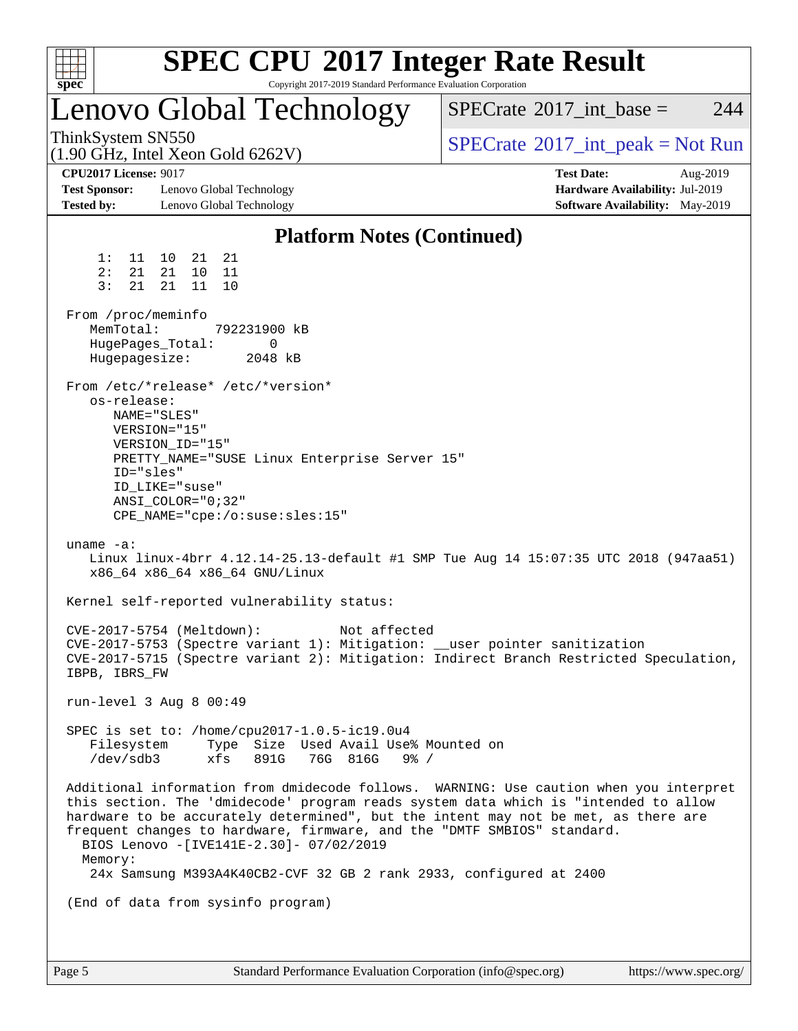| spec <sup>®</sup>                                                                |                                                                                                                                  | Copyright 2017-2019 Standard Performance Evaluation Corporation                                                                                                                          | <b>SPEC CPU®2017 Integer Rate Result</b>                                                                                                                                                                                                                            |
|----------------------------------------------------------------------------------|----------------------------------------------------------------------------------------------------------------------------------|------------------------------------------------------------------------------------------------------------------------------------------------------------------------------------------|---------------------------------------------------------------------------------------------------------------------------------------------------------------------------------------------------------------------------------------------------------------------|
|                                                                                  |                                                                                                                                  | Lenovo Global Technology                                                                                                                                                                 | 244<br>$SPECrate^{\circledast}2017\_int\_base =$                                                                                                                                                                                                                    |
| ThinkSystem SN550<br>$(1.90 \text{ GHz}, \text{Intel Xeon Gold } 6262 \text{V})$ |                                                                                                                                  |                                                                                                                                                                                          | $SPECTate^{\circ}2017\_int\_peak = Not Run$                                                                                                                                                                                                                         |
| <b>CPU2017 License: 9017</b><br><b>Test Sponsor:</b><br><b>Tested by:</b>        | Lenovo Global Technology<br>Lenovo Global Technology                                                                             |                                                                                                                                                                                          | <b>Test Date:</b><br>Aug-2019<br>Hardware Availability: Jul-2019<br><b>Software Availability:</b> May-2019                                                                                                                                                          |
|                                                                                  |                                                                                                                                  | <b>Platform Notes (Continued)</b>                                                                                                                                                        |                                                                                                                                                                                                                                                                     |
| 1:<br>11<br>2:<br>21<br>21<br>3:<br>From /proc/meminfo<br>MemTotal:              | 10<br>21<br>21<br>10<br>21<br>11<br>21<br>11<br>10                                                                               | 792231900 kB                                                                                                                                                                             |                                                                                                                                                                                                                                                                     |
| Hugepagesize:                                                                    | HugePages_Total:                                                                                                                 | 0<br>2048 kB                                                                                                                                                                             |                                                                                                                                                                                                                                                                     |
| os-release:<br>ID="sles"                                                         | From /etc/*release* /etc/*version*<br>NAME="SLES"<br>VERSION="15"<br>VERSION ID="15"<br>ID LIKE="suse"<br>$ANSI\_COLOR = "0;32"$ | PRETTY_NAME="SUSE Linux Enterprise Server 15"<br>CPE_NAME="cpe:/o:suse:sles:15"                                                                                                          |                                                                                                                                                                                                                                                                     |
| uname $-a$ :                                                                     | x86_64 x86_64 x86_64 GNU/Linux                                                                                                   |                                                                                                                                                                                          | Linux linux-4brr 4.12.14-25.13-default #1 SMP Tue Aug 14 15:07:35 UTC 2018 (947aa51)                                                                                                                                                                                |
|                                                                                  |                                                                                                                                  | Kernel self-reported vulnerability status:                                                                                                                                               |                                                                                                                                                                                                                                                                     |
| IBPB, IBRS_FW                                                                    | CVE-2017-5754 (Meltdown):                                                                                                        | Not affected                                                                                                                                                                             | CVE-2017-5753 (Spectre variant 1): Mitigation: __user pointer sanitization<br>CVE-2017-5715 (Spectre variant 2): Mitigation: Indirect Branch Restricted Speculation,                                                                                                |
|                                                                                  | run-level 3 Aug 8 00:49                                                                                                          |                                                                                                                                                                                          |                                                                                                                                                                                                                                                                     |
| Filesystem<br>/dev/sdb3                                                          | xfs                                                                                                                              | SPEC is set to: /home/cpu2017-1.0.5-ic19.0u4<br>Type Size Used Avail Use% Mounted on<br>891G<br>76G 816G 9% /                                                                            |                                                                                                                                                                                                                                                                     |
| Memory:                                                                          |                                                                                                                                  | frequent changes to hardware, firmware, and the "DMTF SMBIOS" standard.<br>BIOS Lenovo -[IVE141E-2.30]- 07/02/2019<br>24x Samsung M393A4K40CB2-CVF 32 GB 2 rank 2933, configured at 2400 | Additional information from dmidecode follows. WARNING: Use caution when you interpret<br>this section. The 'dmidecode' program reads system data which is "intended to allow<br>hardware to be accurately determined", but the intent may not be met, as there are |
|                                                                                  | (End of data from sysinfo program)                                                                                               |                                                                                                                                                                                          |                                                                                                                                                                                                                                                                     |
|                                                                                  |                                                                                                                                  |                                                                                                                                                                                          |                                                                                                                                                                                                                                                                     |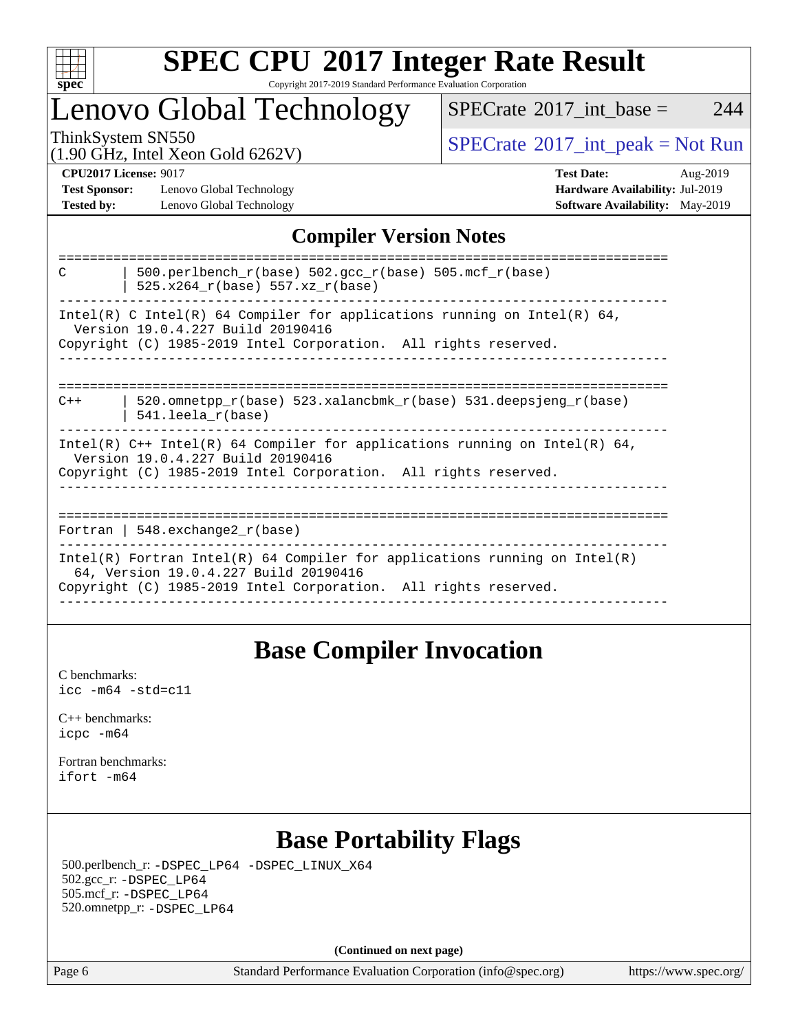

### **[SPEC CPU](http://www.spec.org/auto/cpu2017/Docs/result-fields.html#SPECCPU2017IntegerRateResult)[2017 Integer Rate Result](http://www.spec.org/auto/cpu2017/Docs/result-fields.html#SPECCPU2017IntegerRateResult)** Copyright 2017-2019 Standard Performance Evaluation Corporation

## Lenovo Global Technology

 $SPECTate$ <sup>®</sup>[2017\\_int\\_base =](http://www.spec.org/auto/cpu2017/Docs/result-fields.html#SPECrate2017intbase) 244

(1.90 GHz, Intel Xeon Gold 6262V)

ThinkSystem SN550<br>(1.00 GHz, Intel Year Gold 6262V) [SPECrate](http://www.spec.org/auto/cpu2017/Docs/result-fields.html#SPECrate2017intpeak)®[2017\\_int\\_peak = N](http://www.spec.org/auto/cpu2017/Docs/result-fields.html#SPECrate2017intpeak)ot Run

**[Test Sponsor:](http://www.spec.org/auto/cpu2017/Docs/result-fields.html#TestSponsor)** Lenovo Global Technology **[Hardware Availability:](http://www.spec.org/auto/cpu2017/Docs/result-fields.html#HardwareAvailability)** Jul-2019 **[Tested by:](http://www.spec.org/auto/cpu2017/Docs/result-fields.html#Testedby)** Lenovo Global Technology **[Software Availability:](http://www.spec.org/auto/cpu2017/Docs/result-fields.html#SoftwareAvailability)** May-2019

**[CPU2017 License:](http://www.spec.org/auto/cpu2017/Docs/result-fields.html#CPU2017License)** 9017 **[Test Date:](http://www.spec.org/auto/cpu2017/Docs/result-fields.html#TestDate)** Aug-2019

### **[Compiler Version Notes](http://www.spec.org/auto/cpu2017/Docs/result-fields.html#CompilerVersionNotes)**

| 500.perlbench $r(base)$ 502.qcc $r(base)$ 505.mcf $r(base)$<br>$\mathcal{C}$<br>525.x264 r(base) 557.xz r(base)                                                                        |
|----------------------------------------------------------------------------------------------------------------------------------------------------------------------------------------|
| Intel(R) C Intel(R) 64 Compiler for applications running on Intel(R) 64,<br>Version 19.0.4.227 Build 20190416<br>Copyright (C) 1985-2019 Intel Corporation. All rights reserved.       |
|                                                                                                                                                                                        |
| 520.omnetpp $r(base)$ 523.xalancbmk $r(base)$ 531.deepsjeng $r(base)$<br>$C++$<br>$541.$ leela r(base)                                                                                 |
| Intel(R) $C++$ Intel(R) 64 Compiler for applications running on Intel(R) 64,<br>Version 19.0.4.227 Build 20190416<br>Copyright (C) 1985-2019 Intel Corporation. All rights reserved.   |
| Fortran   548.exchange2 $r(base)$                                                                                                                                                      |
| Intel(R) Fortran Intel(R) 64 Compiler for applications running on Intel(R)<br>64, Version 19.0.4.227 Build 20190416<br>Copyright (C) 1985-2019 Intel Corporation. All rights reserved. |
|                                                                                                                                                                                        |

### **[Base Compiler Invocation](http://www.spec.org/auto/cpu2017/Docs/result-fields.html#BaseCompilerInvocation)**

[C benchmarks](http://www.spec.org/auto/cpu2017/Docs/result-fields.html#Cbenchmarks): [icc -m64 -std=c11](http://www.spec.org/cpu2017/results/res2019q4/cpu2017-20190917-18289.flags.html#user_CCbase_intel_icc_64bit_c11_33ee0cdaae7deeeab2a9725423ba97205ce30f63b9926c2519791662299b76a0318f32ddfffdc46587804de3178b4f9328c46fa7c2b0cd779d7a61945c91cd35)

[C++ benchmarks:](http://www.spec.org/auto/cpu2017/Docs/result-fields.html#CXXbenchmarks) [icpc -m64](http://www.spec.org/cpu2017/results/res2019q4/cpu2017-20190917-18289.flags.html#user_CXXbase_intel_icpc_64bit_4ecb2543ae3f1412ef961e0650ca070fec7b7afdcd6ed48761b84423119d1bf6bdf5cad15b44d48e7256388bc77273b966e5eb805aefd121eb22e9299b2ec9d9)

[Fortran benchmarks](http://www.spec.org/auto/cpu2017/Docs/result-fields.html#Fortranbenchmarks): [ifort -m64](http://www.spec.org/cpu2017/results/res2019q4/cpu2017-20190917-18289.flags.html#user_FCbase_intel_ifort_64bit_24f2bb282fbaeffd6157abe4f878425411749daecae9a33200eee2bee2fe76f3b89351d69a8130dd5949958ce389cf37ff59a95e7a40d588e8d3a57e0c3fd751)

### **[Base Portability Flags](http://www.spec.org/auto/cpu2017/Docs/result-fields.html#BasePortabilityFlags)**

 500.perlbench\_r: [-DSPEC\\_LP64](http://www.spec.org/cpu2017/results/res2019q4/cpu2017-20190917-18289.flags.html#b500.perlbench_r_basePORTABILITY_DSPEC_LP64) [-DSPEC\\_LINUX\\_X64](http://www.spec.org/cpu2017/results/res2019q4/cpu2017-20190917-18289.flags.html#b500.perlbench_r_baseCPORTABILITY_DSPEC_LINUX_X64) 502.gcc\_r: [-DSPEC\\_LP64](http://www.spec.org/cpu2017/results/res2019q4/cpu2017-20190917-18289.flags.html#suite_basePORTABILITY502_gcc_r_DSPEC_LP64) 505.mcf\_r: [-DSPEC\\_LP64](http://www.spec.org/cpu2017/results/res2019q4/cpu2017-20190917-18289.flags.html#suite_basePORTABILITY505_mcf_r_DSPEC_LP64) 520.omnetpp\_r: [-DSPEC\\_LP64](http://www.spec.org/cpu2017/results/res2019q4/cpu2017-20190917-18289.flags.html#suite_basePORTABILITY520_omnetpp_r_DSPEC_LP64)

**(Continued on next page)**

Page 6 Standard Performance Evaluation Corporation [\(info@spec.org\)](mailto:info@spec.org) <https://www.spec.org/>